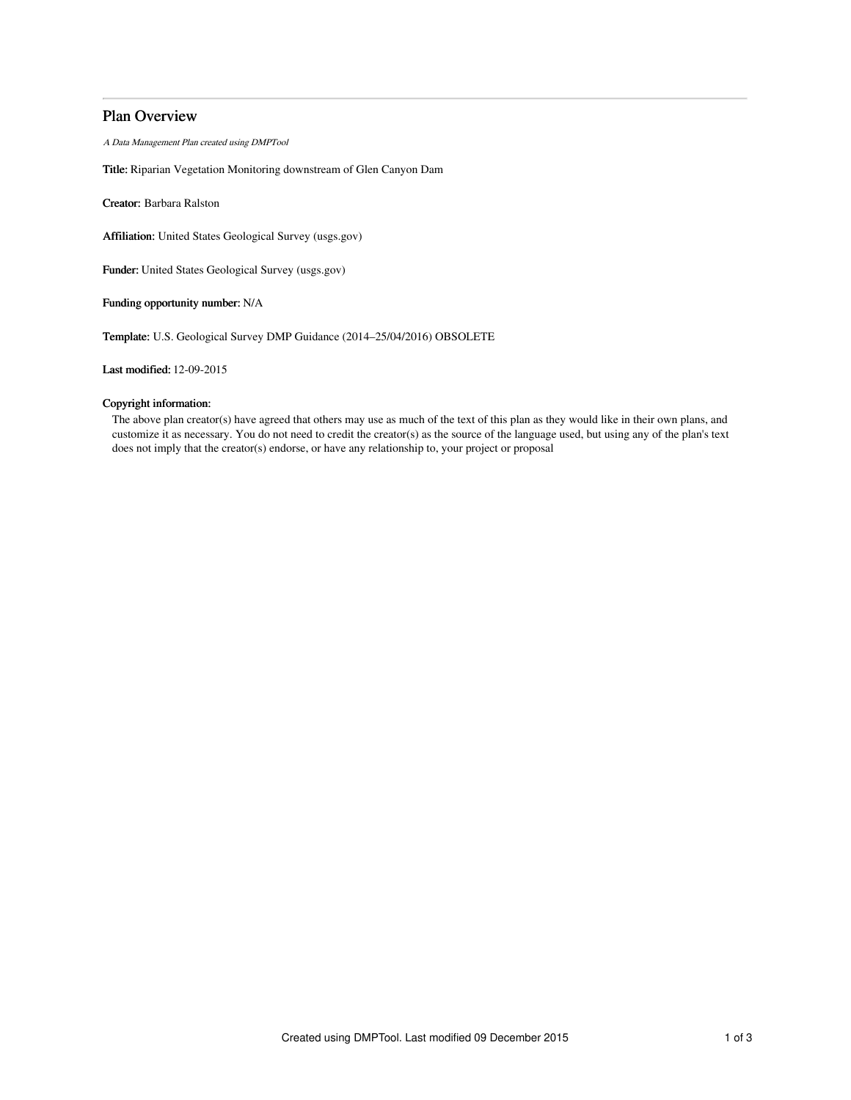# Plan Overview

A Data Management Plan created using DMPTool

Title: Riparian Vegetation Monitoring downstream of Glen Canyon Dam

Creator: Barbara Ralston

Affiliation: United States Geological Survey (usgs.gov)

Funder: United States Geological Survey (usgs.gov)

Funding opportunity number: N/A

Template: U.S. Geological Survey DMP Guidance (2014–25/04/2016) OBSOLETE

Last modified: 12-09-2015

# Copyright information:

The above plan creator(s) have agreed that others may use as much of the text of this plan as they would like in their own plans, and customize it as necessary. You do not need to credit the creator(s) as the source of the language used, but using any of the plan's text does not imply that the creator(s) endorse, or have any relationship to, your project or proposal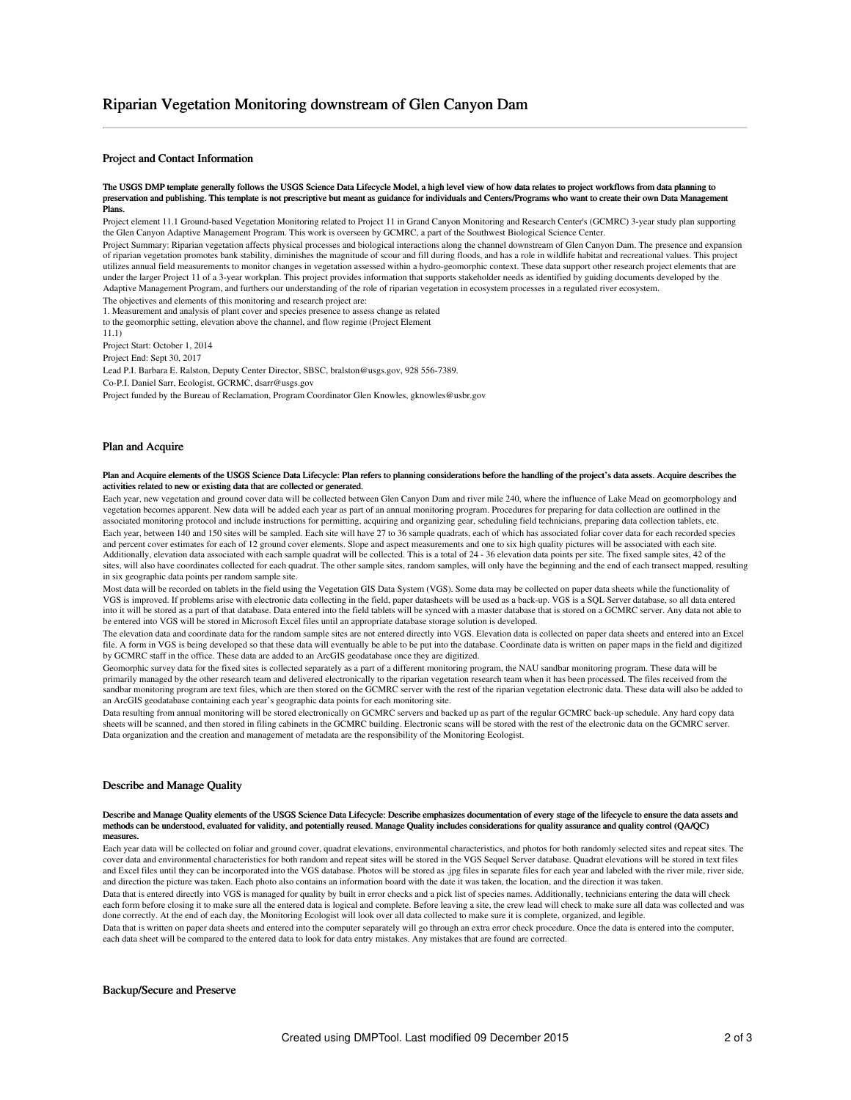# Project and Contact Information

#### The USGS DMP template generally follows the USGS Science Data Lifecycle Model, a high level view of how data relates to project workflows from data planning to preservation and publishing. This template is not prescriptive but meant as guidance for individuals and Centers/Programs who want to create their own Data Management Plans.

Project element 11.1 Ground-based Vegetation Monitoring related to Project 11 in Grand Canyon Monitoring and Research Center's (GCMRC) 3-year study plan supporting the Glen Canyon Adaptive Management Program. This work is overseen by GCMRC, a part of the Southwest Biological Science Center.

Project Summary: Riparian vegetation affects physical processes and biological interactions along the channel downstream of Glen Canyon Dam. The presence and expansion of riparian vegetation promotes bank stability, diminishes the magnitude of scour and fill during floods, and has a role in wildlife habitat and recreational values. This project utilizes annual field measurements to monitor changes in vegetation assessed within a hydro-geomorphic context. These data support other research project elements that are under the larger Project 11 of a 3-year workplan. This project provides information that supports stakeholder needs as identified by guiding documents developed by the Adaptive Management Program, and furthers our understanding of the role of riparian vegetation in ecosystem processes in a regulated river ecosystem.

The objectives and elements of this monitoring and research project are:

1. Measurement and analysis of plant cover and species presence to assess change as related to the geomorphic setting, elevation above the channel, and flow regime (Project Element

11.1)

Project Start: October 1, 2014

Project End: Sept 30, 2017

Lead P.I. Barbara E. Ralston, Deputy Center Director, SBSC, bralston@usgs.gov, 928 556-7389.

Co-P.I. Daniel Sarr, Ecologist, GCRMC, dsarr@usgs.gov

Project funded by the Bureau of Reclamation, Program Coordinator Glen Knowles, gknowles@usbr.gov

#### Plan and Acquire

#### Plan and Acquire elements of the USGS Science Data Lifecycle: Plan refers to planning considerations before the handling of the project's data assets. Acquire describes the activities related to new or existing data that are collected or generated.

Each year, new vegetation and ground cover data will be collected between Glen Canyon Dam and river mile 240, where the influence of Lake Mead on geomorphology and vegetation becomes apparent. New data will be added each year as part of an annual monitoring program. Procedures for preparing for data collection are outlined in the associated monitoring protocol and include instructions for permitting, acquiring and organizing gear, scheduling field technicians, preparing data collection tablets, etc. Each year, between 140 and 150 sites will be sampled. Each site will have 27 to 36 sample quadrats, each of which has associated foliar cover data for each recorded species and percent cover estimates for each of 12 ground cover elements. Slope and aspect measurements and one to six high quality pictures will be associated with each site. Additionally, elevation data associated with each sample quadrat will be collected. This is a total of 24 - 36 elevation data points per site. The fixed sample sites, 42 of the sites, will also have coordinates collected for each quadrat. The other sample sites, random samples, will only have the beginning and the end of each transect mapped, resulting in six geographic data points per random sample site.

Most data will be recorded on tablets in the field using the Vegetation GIS Data System (VGS). Some data may be collected on paper data sheets while the functionality of VGS is improved. If problems arise with electronic data collecting in the field, paper datasheets will be used as a back-up. VGS is a SQL Server database, so all data entered into it will be stored as a part of that database. Data entered into the field tablets will be synced with a master database that is stored on a GCMRC server. Any data not able to be entered into VGS will be stored in Microsoft Excel files until an appropriate database storage solution is developed.

The elevation data and coordinate data for the random sample sites are not entered directly into VGS. Elevation data is collected on paper data sheets and entered into an Excel file. A form in VGS is being developed so that these data will eventually be able to be put into the database. Coordinate data is written on paper maps in the field and digitized by GCMRC staff in the office. These data are added to an ArcGIS geodatabase once they are digitized.

Geomorphic survey data for the fixed sites is collected separately as a part of a different monitoring program, the NAU sandbar monitoring program. These data will be primarily managed by the other research team and delivered electronically to the riparian vegetation research team when it has been processed. The files received from the sandbar monitoring program are text files, which are then stored on the GCMRC server with the rest of the riparian vegetation electronic data. These data will also be added to an ArcGIS geodatabase containing each year's geographic data points for each monitoring site.

Data resulting from annual monitoring will be stored electronically on GCMRC servers and backed up as part of the regular GCMRC back-up schedule. Any hard copy data sheets will be scanned, and then stored in filing cabinets in the GCMRC building. Electronic scans will be stored with the rest of the electronic data on the GCMRC server. Data organization and the creation and management of metadata are the responsibility of the Monitoring Ecologist.

## Describe and Manage Quality

#### Describe and Manage Quality elements of the USGS Science Data Lifecycle: Describe emphasizes documentation of every stage of the lifecycle to ensure the data assets and methods can be understood, evaluated for validity, and potentially reused. Manage Quality includes considerations for quality assurance and quality control (QA/QC) m

Each year data will be collected on foliar and ground cover, quadrat elevations, environmental characteristics, and photos for both randomly selected sites and repeat sites. The cover data and environmental characteristics for both random and repeat sites will be stored in the VGS Sequel Server database. Quadrat elevations will be stored in text files and Excel files until they can be incorporated into the VGS database. Photos will be stored as .jpg files in separate files for each year and labeled with the river mile, river side, and direction the picture was taken. Each photo also contains an information board with the date it was taken, the location, and the direction it was taken.

Data that is entered directly into VGS is managed for quality by built in error checks and a pick list of species names. Additionally, technicians entering the data will check each form before closing it to make sure all the entered data is logical and complete. Before leaving a site, the crew lead will check to make sure all data was collected and was done correctly. At the end of each day, the Monitoring Ecologist will look over all data collected to make sure it is complete, organized, and legible.

Data that is written on paper data sheets and entered into the computer separately will go through an extra error check procedure. Once the data is entered into the computer, each data sheet will be compared to the entered data to look for data entry mistakes. Any mistakes that are found are corrected.

### Backup/Secure and Preserve